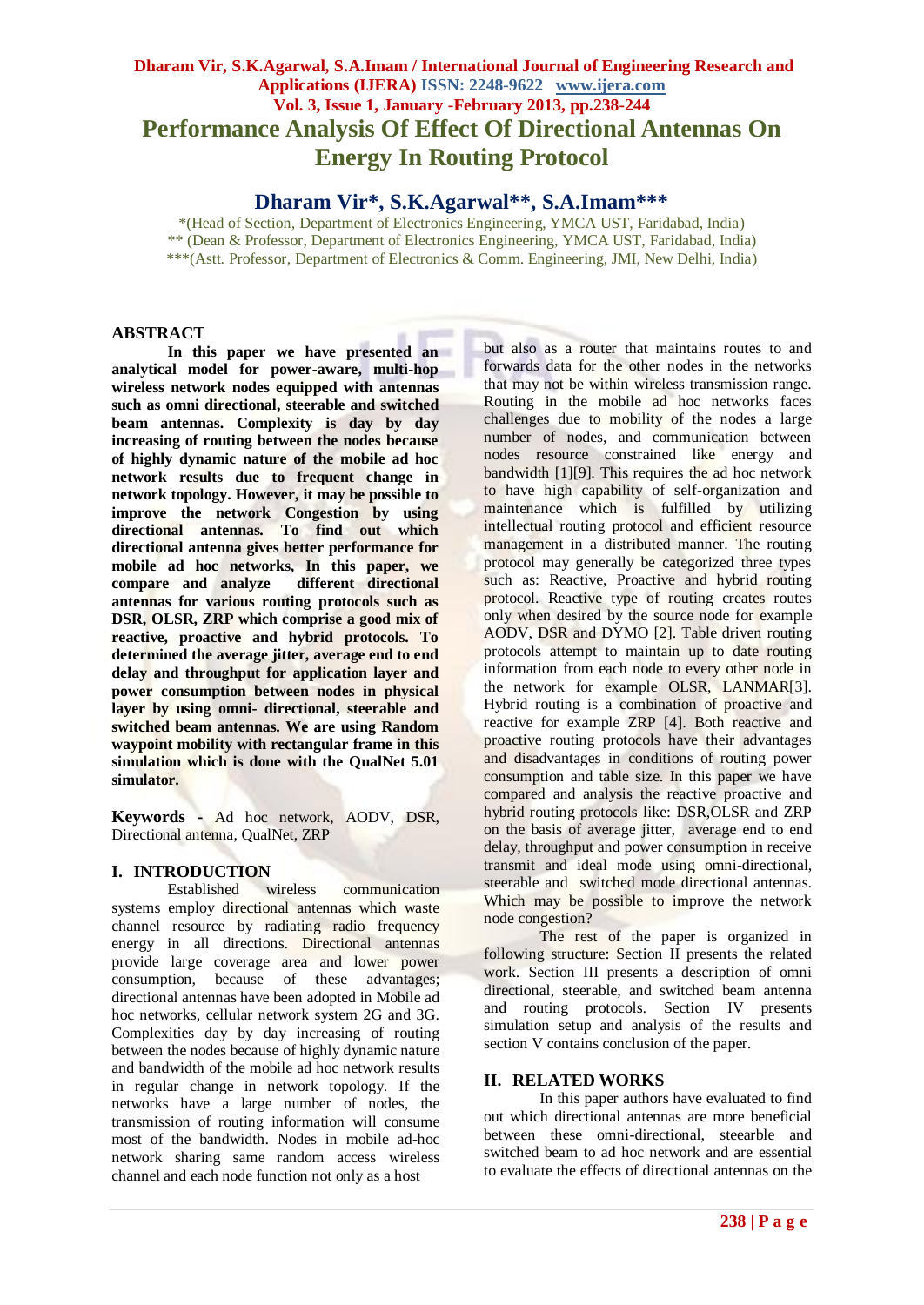# **Dharam Vir, S.K.Agarwal, S.A.Imam / International Journal of Engineering Research and Applications (IJERA) ISSN: 2248-9622 www.ijera.com Vol. 3, Issue 1, January -February 2013, pp.238-244 Performance Analysis Of Effect Of Directional Antennas On Energy In Routing Protocol**

**Dharam Vir\*, S.K.Agarwal\*\*, S.A.Imam\*\*\***

\*(Head of Section, Department of Electronics Engineering, YMCA UST, Faridabad, India) \*\* (Dean & Professor, Department of Electronics Engineering, YMCA UST, Faridabad, India) \*\*\*(Astt. Professor, Department of Electronics & Comm. Engineering, JMI, New Delhi, India)

# **ABSTRACT**

**In this paper we have presented an analytical model for power-aware, multi-hop wireless network nodes equipped with antennas such as omni directional, steerable and switched beam antennas. Complexity is day by day increasing of routing between the nodes because of highly dynamic nature of the mobile ad hoc network results due to frequent change in network topology. However, it may be possible to improve the network Congestion by using directional antennas. To find out which directional antenna gives better performance for mobile ad hoc networks, In this paper, we**  compare and analyze **antennas for various routing protocols such as DSR, OLSR, ZRP which comprise a good mix of reactive, proactive and hybrid protocols. To determined the average jitter, average end to end delay and throughput for application layer and power consumption between nodes in physical layer by using omni- directional, steerable and switched beam antennas. We are using Random waypoint mobility with rectangular frame in this simulation which is done with the QualNet 5.01 simulator.**

**Keywords -** Ad hoc network, AODV, DSR, Directional antenna, QualNet, ZRP

# **I. INTRODUCTION**

communication systems employ directional antennas which waste channel resource by radiating radio frequency energy in all directions. Directional antennas provide large coverage area and lower power consumption, because of these advantages; directional antennas have been adopted in Mobile ad hoc networks, cellular network system 2G and 3G. Complexities day by day increasing of routing between the nodes because of highly dynamic nature and bandwidth of the mobile ad hoc network results in regular change in network topology. If the networks have a large number of nodes, the transmission of routing information will consume most of the bandwidth. Nodes in mobile ad-hoc network sharing same random access wireless channel and each node function not only as a host

but also as a router that maintains routes to and forwards data for the other nodes in the networks that may not be within wireless transmission range. Routing in the mobile ad hoc networks faces challenges due to mobility of the nodes a large number of nodes, and communication between nodes resource constrained like energy and bandwidth [1][9]. This requires the ad hoc network to have high capability of self-organization and maintenance which is fulfilled by utilizing intellectual routing protocol and efficient resource management in a distributed manner. The routing protocol may generally be categorized three types such as: Reactive, Proactive and hybrid routing protocol. Reactive type of routing creates routes only when desired by the source node for example AODV, DSR and DYMO [2]. Table driven routing protocols attempt to maintain up to date routing information from each node to every other node in the network for example OLSR, LANMAR[3]. Hybrid routing is a combination of proactive and reactive for example ZRP [4]. Both reactive and proactive routing protocols have their advantages and disadvantages in conditions of routing power consumption and table size. In this paper we have compared and analysis the reactive proactive and hybrid routing protocols like: DSR,OLSR and ZRP on the basis of average jitter, average end to end delay, throughput and power consumption in receive transmit and ideal mode using omni-directional, steerable and switched mode directional antennas. Which may be possible to improve the network node congestion?

The rest of the paper is organized in following structure: Section II presents the related work. Section III presents a description of omni directional, steerable, and switched beam antenna and routing protocols. Section IV presents simulation setup and analysis of the results and section V contains conclusion of the paper.

# **II. RELATED WORKS**

In this paper authors have evaluated to find out which directional antennas are more beneficial between these omni-directional, steearble and switched beam to ad hoc network and are essential to evaluate the effects of directional antennas on the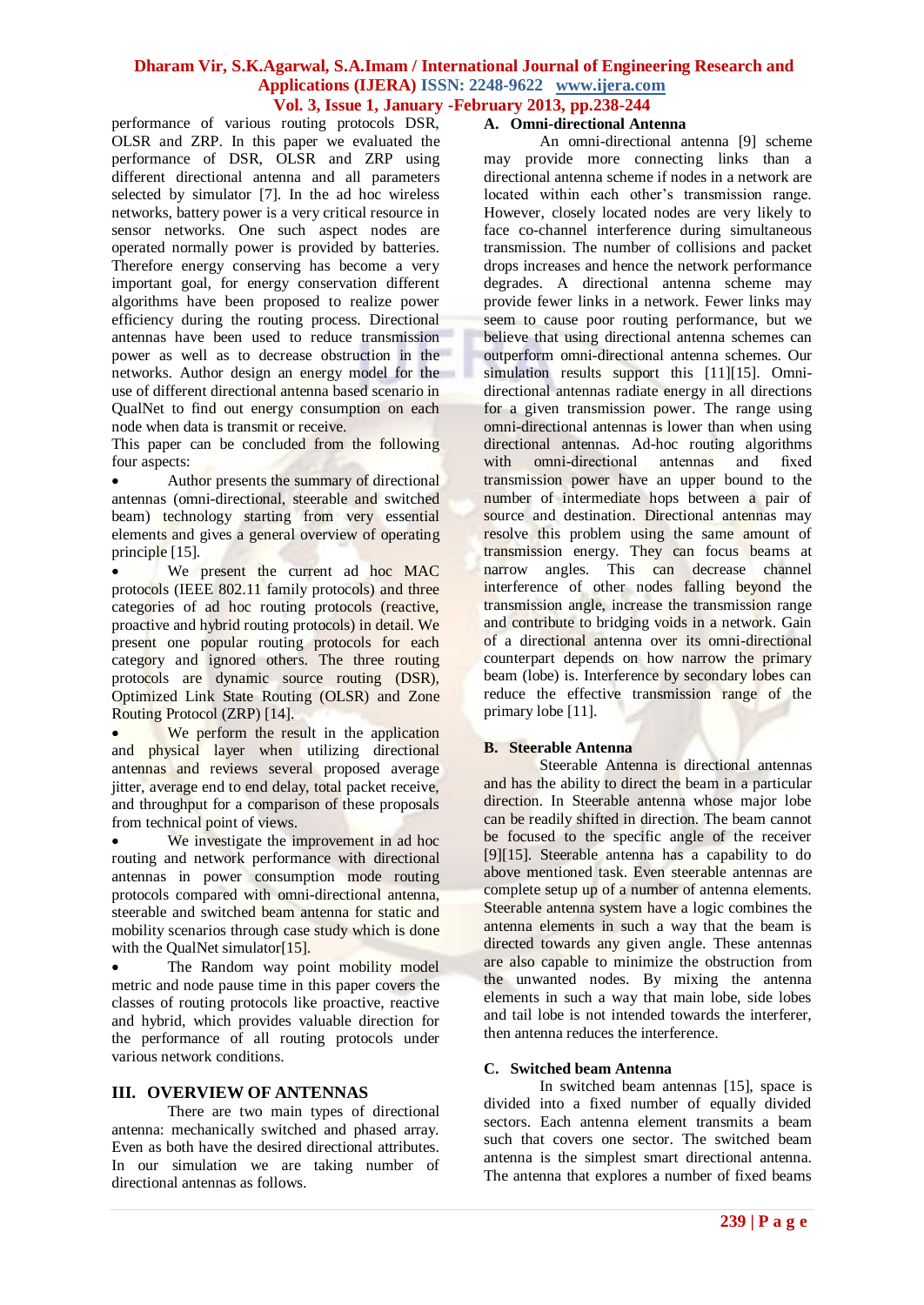performance of various routing protocols DSR, OLSR and ZRP. In this paper we evaluated the performance of DSR, OLSR and ZRP using different directional antenna and all parameters selected by simulator [7]. In the ad hoc wireless networks, battery power is a very critical resource in sensor networks. One such aspect nodes are operated normally power is provided by batteries. Therefore energy conserving has become a very important goal, for energy conservation different algorithms have been proposed to realize power efficiency during the routing process. Directional antennas have been used to reduce transmission power as well as to decrease obstruction in the networks. Author design an energy model for the use of different directional antenna based scenario in QualNet to find out energy consumption on each node when data is transmit or receive.

This paper can be concluded from the following four aspects:

 Author presents the summary of directional antennas (omni-directional, steerable and switched beam) technology starting from very essential elements and gives a general overview of operating principle [15].

We present the current ad hoc MAC protocols (IEEE 802.11 family protocols) and three categories of ad hoc routing protocols (reactive, proactive and hybrid routing protocols) in detail. We present one popular routing protocols for each category and ignored others. The three routing protocols are dynamic source routing (DSR), Optimized Link State Routing (OLSR) and Zone Routing Protocol (ZRP) [14].

We perform the result in the application and physical layer when utilizing directional antennas and reviews several proposed average jitter, average end to end delay, total packet receive, and throughput for a comparison of these proposals from technical point of views.

We investigate the improvement in ad hoc routing and network performance with directional antennas in power consumption mode routing protocols compared with omni-directional antenna, steerable and switched beam antenna for static and mobility scenarios through case study which is done with the QualNet simulator<sup>[15]</sup>.

 The Random way point mobility model metric and node pause time in this paper covers the classes of routing protocols like proactive, reactive and hybrid, which provides valuable direction for the performance of all routing protocols under various network conditions.

# **III. OVERVIEW OF ANTENNAS**

There are two main types of directional antenna: mechanically switched and phased array. Even as both have the desired directional attributes. In our simulation we are taking number of directional antennas as follows.

# **A. Omni-directional Antenna**

An omni-directional antenna [9] scheme may provide more connecting links than a directional antenna scheme if nodes in a network are located within each other's transmission range. However, closely located nodes are very likely to face co-channel interference during simultaneous transmission. The number of collisions and packet drops increases and hence the network performance degrades. A directional antenna scheme may provide fewer links in a network. Fewer links may seem to cause poor routing performance, but we believe that using directional antenna schemes can outperform omni-directional antenna schemes. Our simulation results support this [11][15]. Omnidirectional antennas radiate energy in all directions for a given transmission power. The range using omni-directional antennas is lower than when using directional antennas. Ad-hoc routing algorithms with omni-directional antennas and fixed transmission power have an upper bound to the number of intermediate hops between a pair of source and destination. Directional antennas may resolve this problem using the same amount of transmission energy. They can focus beams at narrow angles. This can decrease channel interference of other nodes falling beyond the transmission angle, increase the transmission range and contribute to bridging voids in a network. Gain of a directional antenna over its omni-directional counterpart depends on how narrow the primary beam (lobe) is. Interference by secondary lobes can reduce the effective transmission range of the primary lobe [11].

#### **B. Steerable Antenna**

Steerable Antenna is directional antennas and has the ability to direct the beam in a particular direction. In Steerable antenna whose major lobe can be readily shifted in direction. The beam cannot be focused to the specific angle of the receiver [9][15]. Steerable antenna has a capability to do above mentioned task. Even steerable antennas are complete setup up of a number of antenna elements. Steerable antenna system have a logic combines the antenna elements in such a way that the beam is directed towards any given angle. These antennas are also capable to minimize the obstruction from the unwanted nodes. By mixing the antenna elements in such a way that main lobe, side lobes and tail lobe is not intended towards the interferer, then antenna reduces the interference.

#### **C. Switched beam Antenna**

In switched beam antennas [15], space is divided into a fixed number of equally divided sectors. Each antenna element transmits a beam such that covers one sector. The switched beam antenna is the simplest smart directional antenna. The antenna that explores a number of fixed beams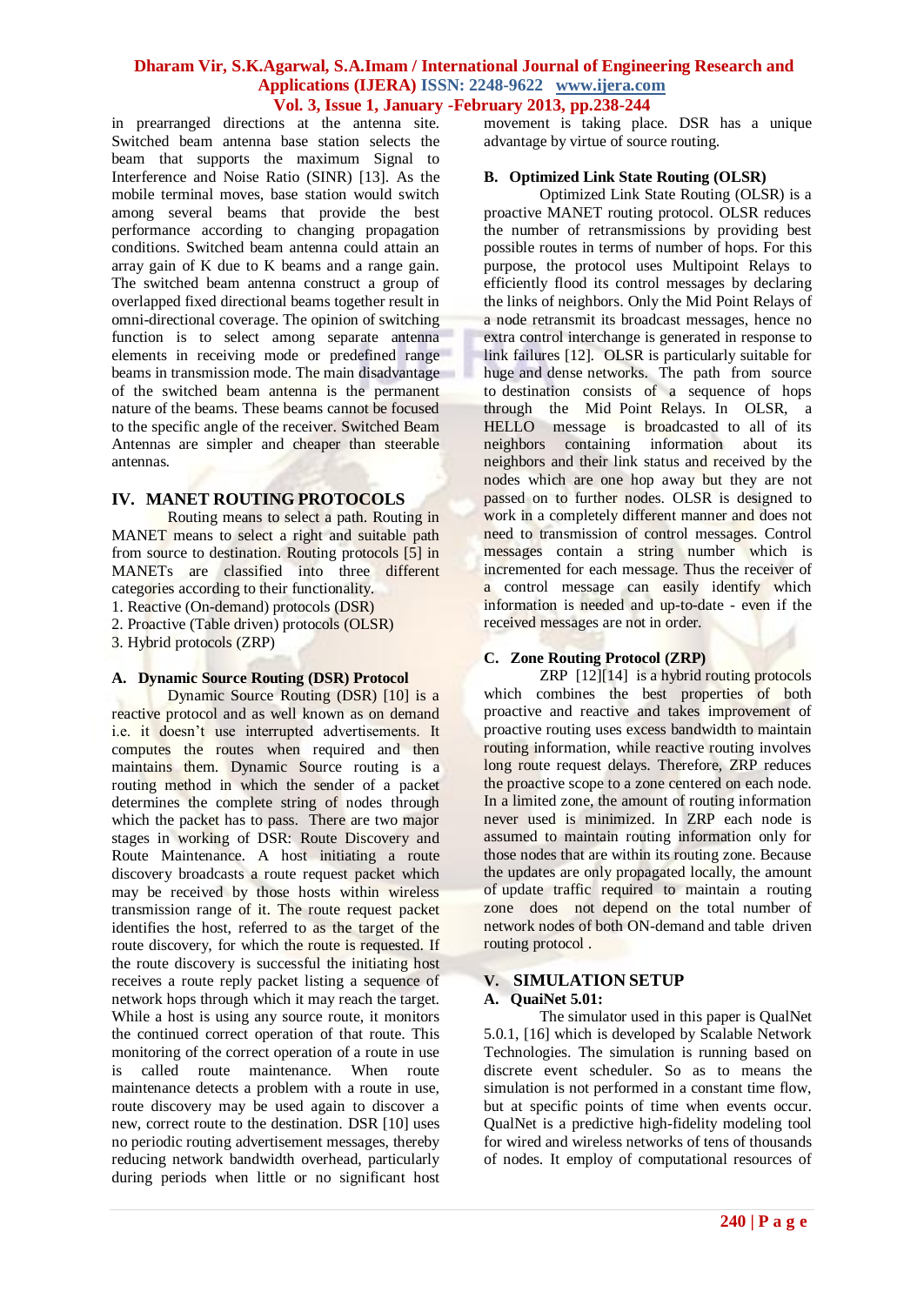in prearranged directions at the antenna site. Switched beam antenna base station selects the beam that supports the maximum Signal to Interference and Noise Ratio (SINR) [13]. As the mobile terminal moves, base station would switch among several beams that provide the best performance according to changing propagation conditions. Switched beam antenna could attain an array gain of K due to K beams and a range gain. The switched beam antenna construct a group of overlapped fixed directional beams together result in omni-directional coverage. The opinion of switching function is to select among separate antenna elements in receiving mode or predefined range beams in transmission mode. The main disadvantage of the switched beam antenna is the permanent nature of the beams. These beams cannot be focused to the specific angle of the receiver. Switched Beam Antennas are simpler and cheaper than steerable antennas.

# **IV. MANET ROUTING PROTOCOLS**

Routing means to select a path. Routing in MANET means to select a right and suitable path from source to destination. Routing protocols [5] in MANETs are classified into three different categories according to their functionality.

- 1. Reactive (On-demand) protocols (DSR)
- 2. Proactive (Table driven) protocols (OLSR)

3. Hybrid protocols (ZRP)

#### **A. Dynamic Source Routing (DSR) Protocol**

Dynamic Source Routing (DSR) [10] is a reactive protocol and as well known as on demand i.e. it doesn't use interrupted advertisements. It computes the routes when required and then maintains them. Dynamic Source routing is a routing method in which the sender of a packet determines the complete string of nodes through which the packet has to pass. There are two major stages in working of DSR: Route Discovery and Route Maintenance. A host initiating a route discovery broadcasts a route request packet which may be received by those hosts within wireless transmission range of it. The route request packet identifies the host, referred to as the target of the route discovery, for which the route is requested. If the route discovery is successful the initiating host receives a route reply packet listing a sequence of network hops through which it may reach the target. While a host is using any source route, it monitors the continued correct operation of that route. This monitoring of the correct operation of a route in use is called route maintenance. When route maintenance detects a problem with a route in use, route discovery may be used again to discover a new, correct route to the destination. DSR [10] uses no periodic routing advertisement messages, thereby reducing network bandwidth overhead, particularly during periods when little or no significant host movement is taking place. DSR has a unique advantage by virtue of source routing.

# **B. Optimized Link State Routing (OLSR)**

Optimized Link State Routing (OLSR) is a proactive MANET routing protocol. OLSR reduces the number of retransmissions by providing best possible routes in terms of number of hops. For this purpose, the protocol uses Multipoint Relays to efficiently flood its control messages by declaring the links of neighbors. Only the Mid Point Relays of a node retransmit its broadcast messages, hence no extra control interchange is generated in response to link failures [12]. OLSR is particularly suitable for huge and dense networks. The path from source to destination consists of a sequence of hops through the Mid Point Relays. In OLSR, a HELLO message is broadcasted to all of its neighbors containing information about its neighbors and their link status and received by the nodes which are one hop away but they are not passed on to further nodes. OLSR is designed to work in a completely different manner and does not need to transmission of control messages. Control messages contain a string number which is incremented for each message. Thus the receiver of a control message can easily identify which information is needed and up-to-date - even if the received messages are not in order.

# **C. Zone Routing Protocol (ZRP)**

ZRP [12][14] is a hybrid routing protocols which combines the best properties of both proactive and reactive and takes improvement of proactive routing uses excess bandwidth to maintain routing information, while reactive routing involves long route request delays. Therefore, ZRP reduces the proactive scope to a zone centered on each node. In a limited zone, the amount of routing information never used is minimized. In ZRP each node is assumed to maintain routing information only for those nodes that are within its routing zone. Because the updates are only propagated locally, the amount of update traffic required to maintain a routing zone does not depend on the total number of network nodes of both ON-demand and table driven routing protocol .

#### **V. SIMULATION SETUP A. QuaiNet 5.01:**

The simulator used in this paper is QualNet 5.0.1, [16] which is developed by Scalable Network Technologies. The simulation is running based on discrete event scheduler. So as to means the simulation is not performed in a constant time flow, but at specific points of time when events occur. QualNet is a predictive high-fidelity modeling tool for wired and wireless networks of tens of thousands of nodes. It employ of computational resources of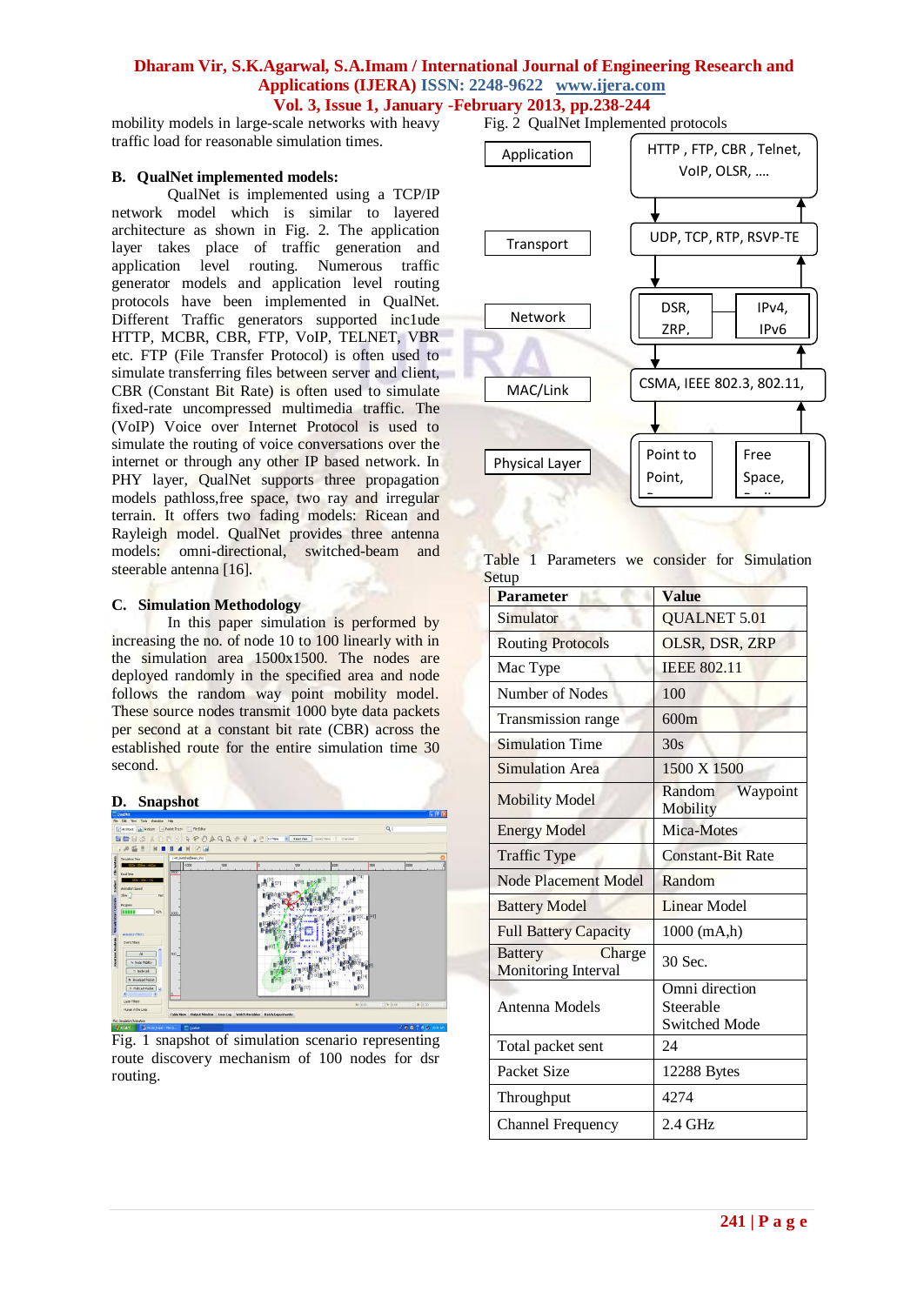mobility models in large-scale networks with heavy traffic load for reasonable simulation times.

#### **B. QualNet implemented models:**

QualNet is implemented using a TCP/IP network model which is similar to layered architecture as shown in Fig. 2. The application layer takes place of traffic generation and application level routing. Numerous traffic generator models and application level routing protocols have been implemented in QualNet. Different Traffic generators supported inc1ude HTTP, MCBR, CBR, FTP, VoIP, TELNET, VBR etc. FTP (File Transfer Protocol) is often used to simulate transferring files between server and client, CBR (Constant Bit Rate) is often used to simulate fixed-rate uncompressed multimedia traffic. The (VoIP) Voice over Internet Protocol is used to simulate the routing of voice conversations over the internet or through any other IP based network. In PHY layer, QualNet supports three propagation models pathloss,free space, two ray and irregular terrain. It offers two fading models: Ricean and Rayleigh model. QualNet provides three antenna models: omni-directional, switched-beam and steerable antenna [16].

#### **C. Simulation Methodology**

In this paper simulation is performed by increasing the no. of node 10 to 100 linearly with in the simulation area 1500x1500. The nodes are deployed randomly in the specified area and node follows the random way point mobility model. These source nodes transmit 1000 byte data packets per second at a constant bit rate (CBR) across the established route for the entire simulation time 30 second.

#### **D. Snapshot**



Fig. 1 snapshot of simulation scenario representing route discovery mechanism of 100 nodes for dsr routing.

Fig. 2 QualNet Implemented protocols



Table 1 Parameters we consider for Simulation Setup Wireless

| <b>Parameter</b>                                       | <b>Value</b>                   |
|--------------------------------------------------------|--------------------------------|
| Simulator                                              | <b>QUALNET 5.01</b>            |
| <b>Routing Protocols</b>                               | OLSR, DSR, ZRP                 |
| Mac Type                                               | <b>IEEE 802.11</b>             |
| Number of Nodes                                        | 100                            |
| Transmission range                                     | 600m                           |
| <b>Simulation Time</b>                                 | 30s                            |
| <b>Simulation Area</b>                                 | 1500 X 1500                    |
| <b>Mobility Model</b>                                  | Waypoint<br>Random<br>Mobility |
| <b>Energy Model</b>                                    | Mica-Motes                     |
| <b>Traffic Type</b>                                    | <b>Constant-Bit Rate</b>       |
| Node Placement Model                                   | Random                         |
| <b>Battery Model</b>                                   | <b>Linear Model</b>            |
| <b>Full Battery Capacity</b>                           | 1000 (mA,h)                    |
| Charge<br><b>Battery</b><br><b>Monitoring Interval</b> | 30 Sec.                        |
|                                                        | Omni direction                 |
| Antenna Models                                         | Steerable                      |
|                                                        | <b>Switched Mode</b>           |
| Total packet sent                                      | 24                             |
| Packet Size                                            | 12288 Bytes                    |
| Throughput                                             | 4274                           |
| <b>Channel Frequency</b>                               | 2.4 GHz                        |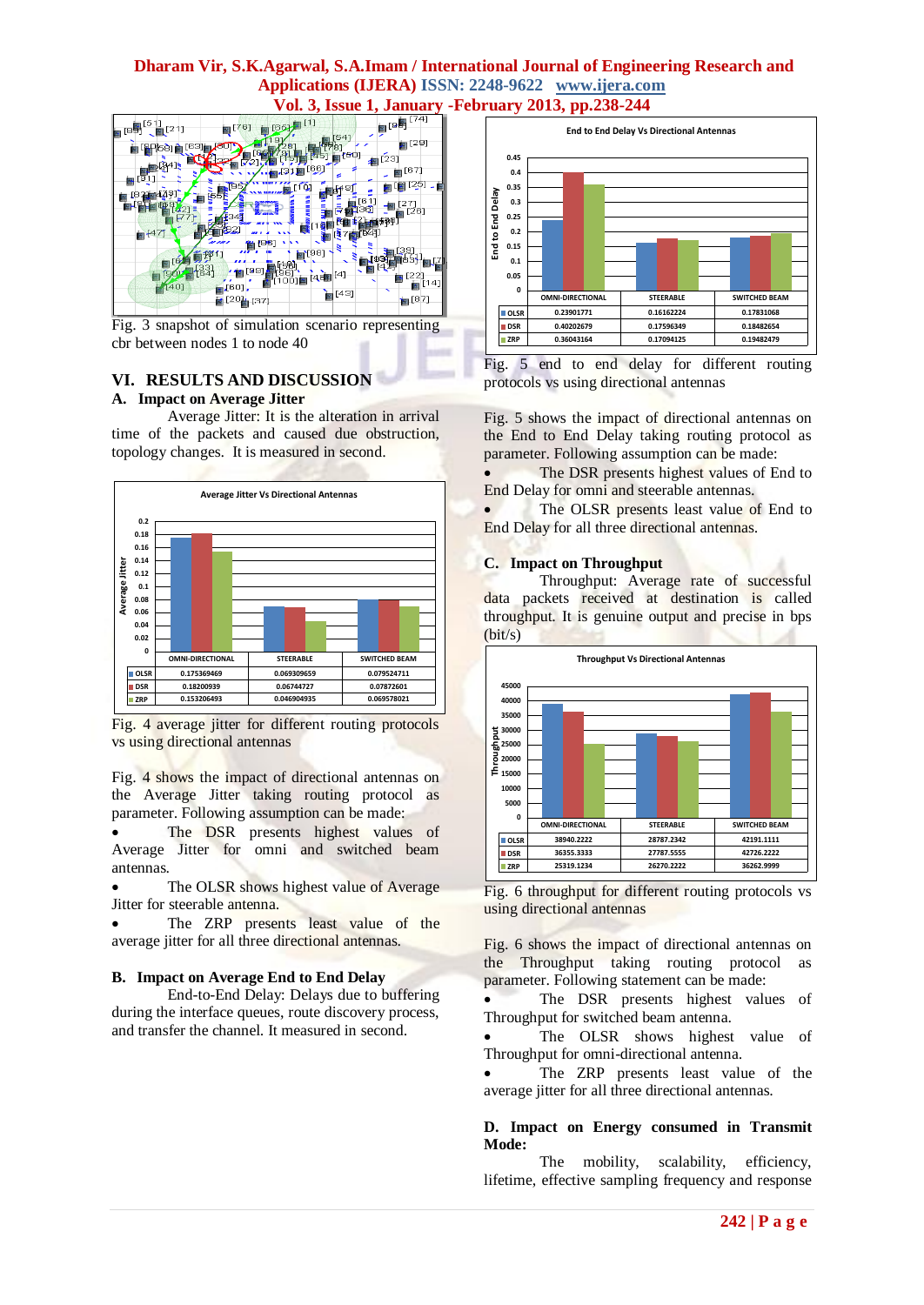

Fig. 3 snapshot of simulation scenario representing cbr between nodes 1 to node 40

# **VI. RESULTS AND DISCUSSION**

# **A. Impact on Average Jitter**

Average Jitter: It is the alteration in arrival time of the packets and caused due obstruction, topology changes. It is measured in second.



Fig. 4 average jitter for different routing protocols vs using directional antennas

Fig. 4 shows the impact of directional antennas on the Average Jitter taking routing protocol as parameter. Following assumption can be made:

The DSR presents highest values of Average Jitter for omni and switched beam antennas.

 The OLSR shows highest value of Average Jitter for steerable antenna.

 The ZRP presents least value of the average jitter for all three directional antennas.

# **B. Impact on Average End to End Delay**

End-to-End Delay: Delays due to buffering during the interface queues, route discovery process, and transfer the channel. It measured in second.





Fig. 5 shows the impact of directional antennas on the End to End Delay taking routing protocol as parameter. Following assumption can be made:

• The DSR presents highest values of End to End Delay for omni and steerable antennas.

The OLSR presents least value of End to End Delay for all three directional antennas.

# **C. Impact on Throughput**

Throughput: Average rate of successful data packets received at destination is called throughput. It is genuine output and precise in bps (bit/s)



Fig. 6 throughput for different routing protocols vs using directional antennas

Fig. 6 shows the impact of directional antennas on the Throughput taking routing protocol as parameter. Following statement can be made:

 The DSR presents highest values of Throughput for switched beam antenna.

• The OLSR shows highest value of Throughput for omni-directional antenna.

 The ZRP presents least value of the average jitter for all three directional antennas.

# **D. Impact on Energy consumed in Transmit Mode:**

The mobility, scalability, efficiency, lifetime, effective sampling frequency and response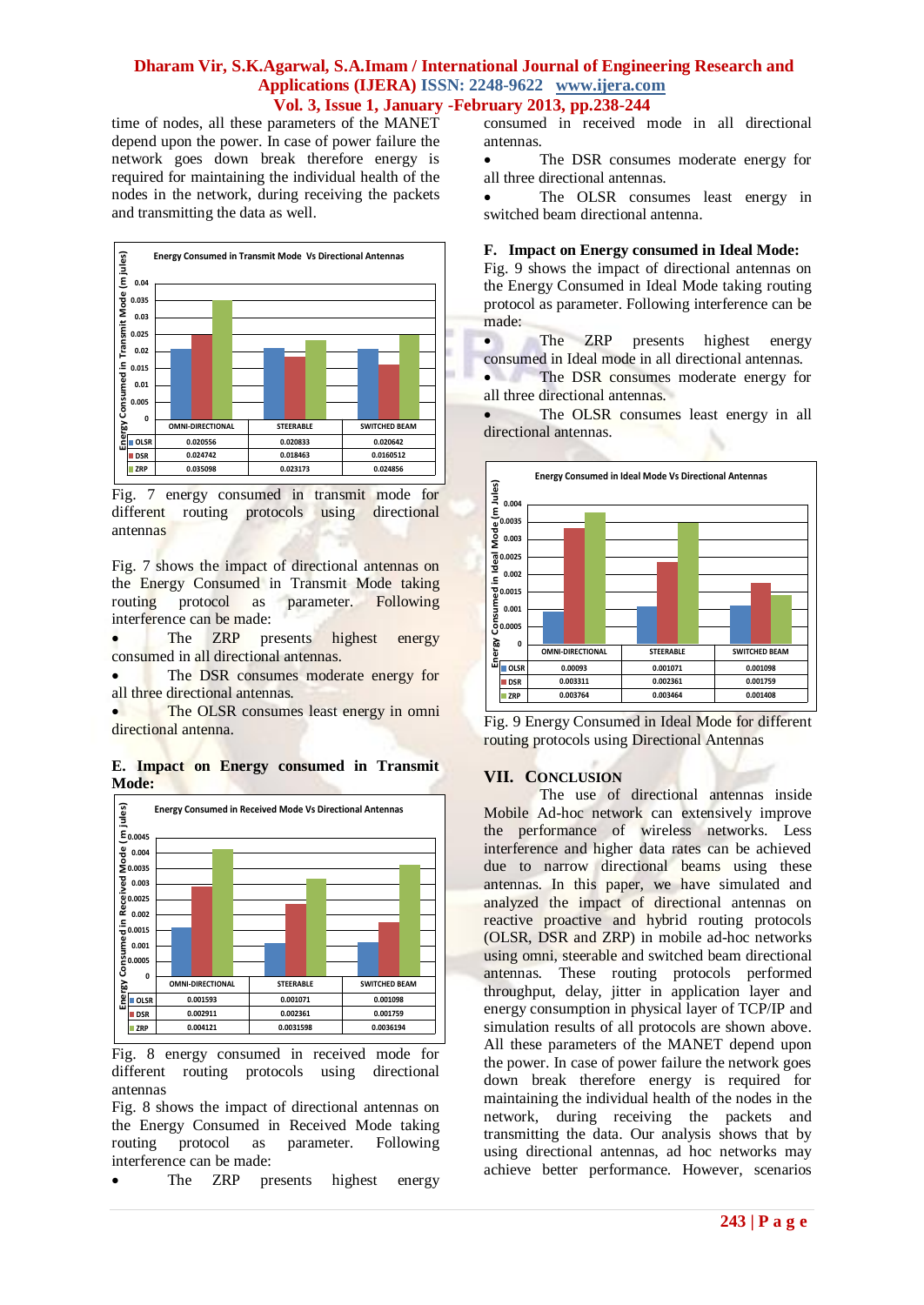time of nodes, all these parameters of the MANET depend upon the power. In case of power failure the network goes down break therefore energy is required for maintaining the individual health of the nodes in the network, during receiving the packets and transmitting the data as well.



Fig. 7 energy consumed in transmit mode for different routing protocols using directional antennas

Fig. 7 shows the impact of directional antennas on the Energy Consumed in Transmit Mode taking<br>routing protocol as parameter. Following routing protocol as parameter. Following interference can be made:

 The ZRP presents highest energy consumed in all directional antennas.

 The DSR consumes moderate energy for all three directional antennas.

 The OLSR consumes least energy in omni directional antenna.

**E. Impact on Energy consumed in Transmit Mode:**



Fig. 8 energy consumed in received mode for different routing protocols using directional antennas

Fig. 8 shows the impact of directional antennas on the Energy Consumed in Received Mode taking routing protocol as parameter. Following interference can be made:

The ZRP presents highest energy

consumed in received mode in all directional antennas.

 The DSR consumes moderate energy for all three directional antennas.

• The OLSR consumes least energy in switched beam directional antenna.

#### **F. Impact on Energy consumed in Ideal Mode:**

Fig. 9 shows the impact of directional antennas on the Energy Consumed in Ideal Mode taking routing protocol as parameter. Following interference can be made:

• The ZRP presents highest energy consumed in Ideal mode in all directional antennas.

• The DSR consumes moderate energy for all three directional antennas.

 The OLSR consumes least energy in all directional antennas.





#### **VII. CONCLUSION**

The use of directional antennas inside Mobile Ad-hoc network can extensively improve the performance of wireless networks. Less interference and higher data rates can be achieved due to narrow directional beams using these antennas. In this paper, we have simulated and analyzed the impact of directional antennas on reactive proactive and hybrid routing protocols (OLSR, DSR and ZRP) in mobile ad-hoc networks using omni, steerable and switched beam directional antennas. These routing protocols performed throughput, delay, jitter in application layer and energy consumption in physical layer of TCP/IP and simulation results of all protocols are shown above. All these parameters of the MANET depend upon the power. In case of power failure the network goes down break therefore energy is required for maintaining the individual health of the nodes in the network, during receiving the packets and transmitting the data. Our analysis shows that by using directional antennas, ad hoc networks may achieve better performance. However, scenarios